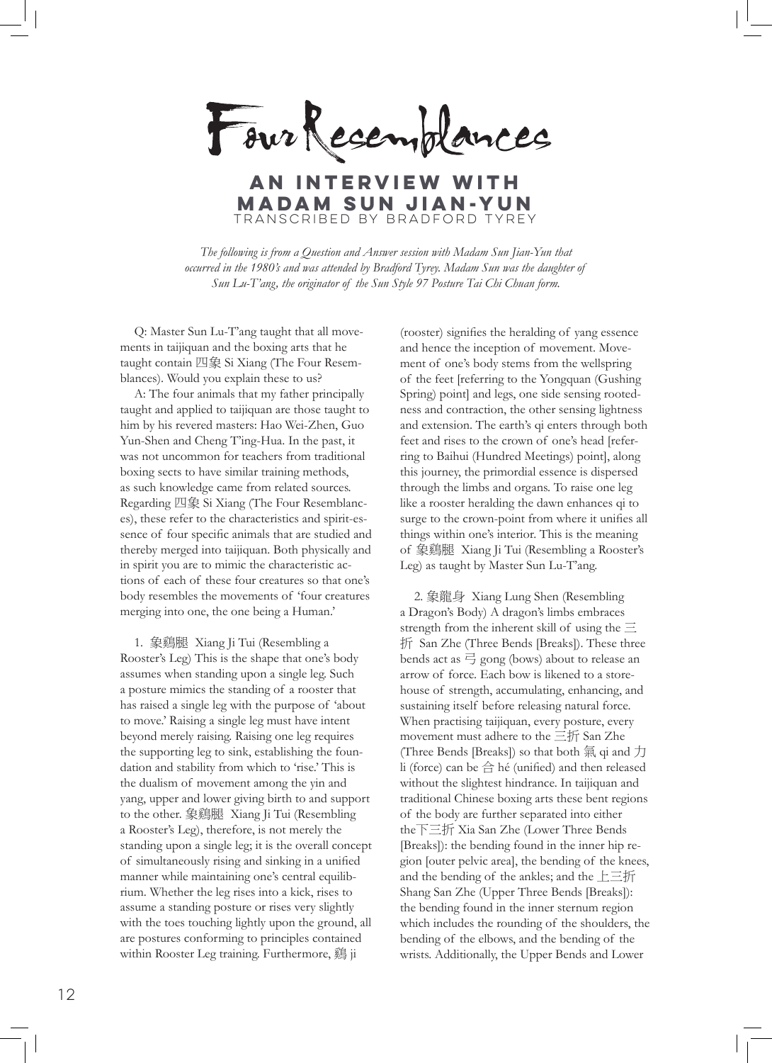Four Recemplances

transcribed by Bradford Tyrey **an interview with Madam Sun Jian-Yun**

*The following is from a Question and Answer session with Madam Sun Jian-Yun that occurred in the 1980's and was attended by Bradford Tyrey. Madam Sun was the daughter of Sun Lu-T'ang, the originator of the Sun Style 97 Posture Tai Chi Chuan form.*

Q: Master Sun Lu-T'ang taught that all movements in taijiquan and the boxing arts that he taught contain 四象 Si Xiang (The Four Resemblances). Would you explain these to us?

A: The four animals that my father principally taught and applied to taijiquan are those taught to him by his revered masters: Hao Wei-Zhen, Guo Yun-Shen and Cheng T'ing-Hua. In the past, it was not uncommon for teachers from traditional boxing sects to have similar training methods, as such knowledge came from related sources. Regarding 四象 Si Xiang (The Four Resemblances), these refer to the characteristics and spirit-essence of four specific animals that are studied and thereby merged into taijiquan. Both physically and in spirit you are to mimic the characteristic actions of each of these four creatures so that one's body resembles the movements of 'four creatures merging into one, the one being a Human.'

1. 象鷄腿 Xiang Ji Tui (Resembling a Rooster's Leg) This is the shape that one's body assumes when standing upon a single leg. Such a posture mimics the standing of a rooster that has raised a single leg with the purpose of 'about to move.' Raising a single leg must have intent beyond merely raising. Raising one leg requires the supporting leg to sink, establishing the foundation and stability from which to 'rise.' This is the dualism of movement among the yin and yang, upper and lower giving birth to and support to the other. 象鷄腿 Xiang Ji Tui (Resembling a Rooster's Leg), therefore, is not merely the standing upon a single leg; it is the overall concept of simultaneously rising and sinking in a unified manner while maintaining one's central equilibrium. Whether the leg rises into a kick, rises to assume a standing posture or rises very slightly with the toes touching lightly upon the ground, all are postures conforming to principles contained within Rooster Leg training. Furthermore, 鷄 ji

(rooster) signifies the heralding of yang essence and hence the inception of movement. Movement of one's body stems from the wellspring of the feet [referring to the Yongquan (Gushing Spring) point] and legs, one side sensing rootedness and contraction, the other sensing lightness and extension. The earth's qi enters through both feet and rises to the crown of one's head [referring to Baihui (Hundred Meetings) point], along this journey, the primordial essence is dispersed through the limbs and organs. To raise one leg like a rooster heralding the dawn enhances qi to surge to the crown-point from where it unifies all things within one's interior. This is the meaning of 象鷄腿 Xiang Ji Tui (Resembling a Rooster's Leg) as taught by Master Sun Lu-T'ang.

2. 象龍身 Xiang Lung Shen (Resembling a Dragon's Body) A dragon's limbs embraces strength from the inherent skill of using the  $\equiv$ 折 San Zhe (Three Bends [Breaks]). These three bends act as  $\overrightarrow{=}$  gong (bows) about to release an arrow of force. Each bow is likened to a storehouse of strength, accumulating, enhancing, and sustaining itself before releasing natural force. When practising taijiquan, every posture, every movement must adhere to the 三折 San Zhe (Three Bends [Breaks]) so that both 氣 qi and 力 li (force) can be  $\triangleq$  hé (unified) and then released without the slightest hindrance. In taijiquan and traditional Chinese boxing arts these bent regions of the body are further separated into either the下三折 Xia San Zhe (Lower Three Bends [Breaks]): the bending found in the inner hip region [outer pelvic area], the bending of the knees, and the bending of the ankles; and the 上三折 Shang San Zhe (Upper Three Bends [Breaks]): the bending found in the inner sternum region which includes the rounding of the shoulders, the bending of the elbows, and the bending of the wrists. Additionally, the Upper Bends and Lower